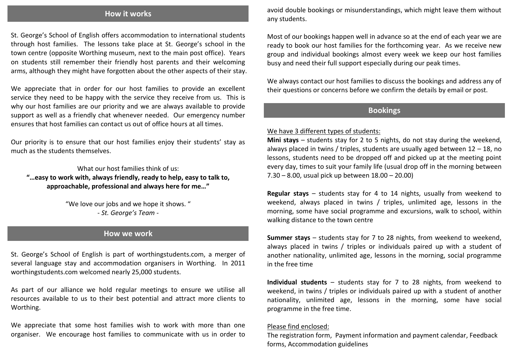## **How it works**

St. George's School of English offers accommodation to international students through host families. The lessons take place at St. George's school in the town centre (opposite Worthing museum, next to the main post office). Years on students still remember their friendly host parents and their welcoming arms, although they might have forgotten about the other aspects of their stay.

We appreciate that in order for our host families to provide an excellent service they need to be happy with the service they receive from us. This is why our host families are our priority and we are always available to provide support as well as a friendly chat whenever needed. Our emergency number ensures that host families can contact us out of office hours at all times.

Our priority is to ensure that our host families enjoy their students' stay as much as the students themselves.

What our host families think of us:

**"…easy to work with, always friendly, ready to help, easy to talk to, approachable, professional and always here for me…"**

> "We love our jobs and we hope it shows. " *- St. George's Team -*

# **How we work**

St. George's School of English is part of worthingstudents.com, a merger of several language stay and accommodation organisers in Worthing. In 2011 worthingstudents.com welcomed nearly 25,000 students.

As part of our alliance we hold regular meetings to ensure we utilise all resources available to us to their best potential and attract more clients to Worthing.

We appreciate that some host families wish to work with more than one organiser. We encourage host families to communicate with us in order to

avoid double bookings or misunderstandings, which might leave them without any students.

Most of our bookings happen well in advance so at the end of each year we are ready to book our host families for the forthcoming year. As we receive new group and individual bookings almost every week we keep our host families busy and need their full support especially during our peak times.

We always contact our host families to discuss the bookings and address any of their questions or concerns before we confirm the details by email or post.

# **Bookings**

#### We have 3 different types of students:

**Mini stays** – students stay for 2 to 5 nights, do not stay during the weekend, always placed in twins / triples, students are usually aged between 12 – 18, no lessons, students need to be dropped off and picked up at the meeting point every day, times to suit your family life (usual drop off in the morning between 7.30 – 8.00, usual pick up between 18.00 – 20.00)

**Regular stays** – students stay for 4 to 14 nights, usually from weekend to weekend, always placed in twins / triples, unlimited age, lessons in the morning, some have social programme and excursions, walk to school, within walking distance to the town centre

**Summer stays** – students stay for 7 to 28 nights, from weekend to weekend, always placed in twins / triples or individuals paired up with a student of another nationality, unlimited age, lessons in the morning, social programme in the free time

**Individual students** – students stay for 7 to 28 nights, from weekend to weekend, in twins / triples or individuals paired up with a student of another nationality, unlimited age, lessons in the morning, some have social programme in the free time.

#### Please find enclosed:

The registration form, Payment information and payment calendar, Feedback forms, Accommodation guidelines